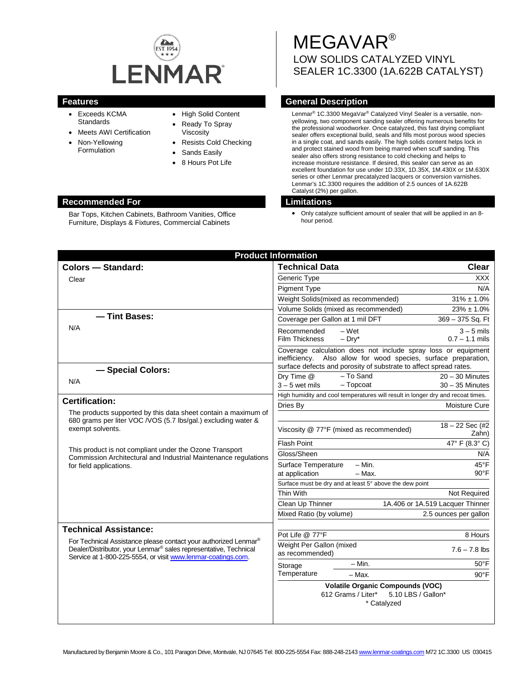

Bar Tops, Kitchen Cabinets, Bathroom Vanities, Office Furniture, Displays & Fixtures, Commercial Cabinets

- Exceeds KCMA **Standards**
- **Meets AWI Certification**
- Non-Yellowing Formulation
- High Solid Content
- Ready To Spray
- Viscosity
- Resists Cold Checking
- Sands Easily
- 8 Hours Pot Life

# MEGAVAR® LOW SOLIDS CATALYZED VINYL SEALER 1C.3300 (1A.622B CATALYST)

# **Features General Description**

Lenmar® 1C.3300 MegaVar® Catalyzed Vinyl Sealer is a versatile, nonyellowing, two component sanding sealer offering numerous benefits for the professional woodworker. Once catalyzed, this fast drying compliant sealer offers exceptional build, seals and fills most porous wood species in a single coat, and sands easily. The high solids content helps lock in and protect stained wood from being marred when scuff sanding. This sealer also offers strong resistance to cold checking and helps to increase moisture resistance. If desired, this sealer can serve as an excellent foundation for use under 1D.33X, 1D.35X, 1M.430X or 1M.630X series or other Lenmar precatalyzed lacquers or conversion varnishes. Lenmar's 1C.3300 requires the addition of 2.5 ounces of 1A.622B Catalyst (2%) per gallon.

# **Recommended For Limitations**

• Only catalyze sufficient amount of sealer that will be applied in an 8 hour period.

| <b>Product Information</b>                                                                                                                                                                                                  |                                                                                                                                                                                                       |                                  |
|-----------------------------------------------------------------------------------------------------------------------------------------------------------------------------------------------------------------------------|-------------------------------------------------------------------------------------------------------------------------------------------------------------------------------------------------------|----------------------------------|
| <b>Colors - Standard:</b>                                                                                                                                                                                                   | <b>Technical Data</b>                                                                                                                                                                                 | <b>Clear</b>                     |
| Clear                                                                                                                                                                                                                       | Generic Type                                                                                                                                                                                          | <b>XXX</b>                       |
|                                                                                                                                                                                                                             | <b>Pigment Type</b>                                                                                                                                                                                   | N/A                              |
|                                                                                                                                                                                                                             | Weight Solids(mixed as recommended)                                                                                                                                                                   | $31\% \pm 1.0\%$                 |
|                                                                                                                                                                                                                             | Volume Solids (mixed as recommended)                                                                                                                                                                  | $23\% \pm 1.0\%$                 |
| - Tint Bases:                                                                                                                                                                                                               | Coverage per Gallon at 1 mil DFT                                                                                                                                                                      | 369 - 375 Sq. Ft                 |
| N/A                                                                                                                                                                                                                         | Recommended<br>$-Wet$<br><b>Film Thickness</b><br>$-$ Dry*                                                                                                                                            | $3 - 5$ mils<br>$0.7 - 1.1$ mils |
|                                                                                                                                                                                                                             | Coverage calculation does not include spray loss or equipment<br>inefficiency. Also allow for wood species, surface preparation,<br>surface defects and porosity of substrate to affect spread rates. |                                  |
| - Special Colors:                                                                                                                                                                                                           | - To Sand<br>Dry Time @                                                                                                                                                                               | $20 - 30$ Minutes                |
| N/A                                                                                                                                                                                                                         | $-$ Topcoat<br>$3 - 5$ wet mils                                                                                                                                                                       | $30 - 35$ Minutes                |
|                                                                                                                                                                                                                             | High humidity and cool temperatures will result in longer dry and recoat times.                                                                                                                       |                                  |
| <b>Certification:</b>                                                                                                                                                                                                       | Dries By                                                                                                                                                                                              | Moisture Cure                    |
| The products supported by this data sheet contain a maximum of                                                                                                                                                              |                                                                                                                                                                                                       |                                  |
| 680 grams per liter VOC /VOS (5.7 lbs/gal.) excluding water &<br>exempt solvents.                                                                                                                                           | Viscosity @ 77°F (mixed as recommended)                                                                                                                                                               | $18 - 22$ Sec (#2)<br>Zahn)      |
| This product is not compliant under the Ozone Transport<br>Commission Architectural and Industrial Maintenance regulations<br>for field applications.                                                                       | Flash Point                                                                                                                                                                                           | 47° F (8.3° C)                   |
|                                                                                                                                                                                                                             | Gloss/Sheen                                                                                                                                                                                           | N/A                              |
|                                                                                                                                                                                                                             | $- Min.$<br>Surface Temperature                                                                                                                                                                       | 45°F                             |
|                                                                                                                                                                                                                             | at application<br>$-$ Max.                                                                                                                                                                            | $90^{\circ}$ F                   |
|                                                                                                                                                                                                                             | Surface must be dry and at least 5° above the dew point                                                                                                                                               |                                  |
|                                                                                                                                                                                                                             | Thin With                                                                                                                                                                                             | Not Required                     |
|                                                                                                                                                                                                                             | Clean Up Thinner                                                                                                                                                                                      | 1A.406 or 1A.519 Lacquer Thinner |
|                                                                                                                                                                                                                             | Mixed Ratio (by volume)                                                                                                                                                                               | 2.5 ounces per gallon            |
| <b>Technical Assistance:</b>                                                                                                                                                                                                |                                                                                                                                                                                                       |                                  |
| For Technical Assistance please contact your authorized Lenmar <sup>®</sup><br>Dealer/Distributor, your Lenmar <sup>®</sup> sales representative, Technical<br>Service at 1-800-225-5554, or visit www.lenmar-coatings.com. | Pot Life @ 77°F                                                                                                                                                                                       | 8 Hours                          |
|                                                                                                                                                                                                                             | Weight Per Gallon (mixed<br>as recommended)                                                                                                                                                           | $7.6 - 7.8$ lbs                  |
|                                                                                                                                                                                                                             | $- Min.$<br>Storage                                                                                                                                                                                   | $50^{\circ}$ F                   |
|                                                                                                                                                                                                                             | Temperature<br>$-$ Max.                                                                                                                                                                               | $90^{\circ}$ F                   |
|                                                                                                                                                                                                                             | <b>Volatile Organic Compounds (VOC)</b><br>5.10 LBS / Gallon*<br>612 Grams / Liter*<br>* Catalyzed                                                                                                    |                                  |